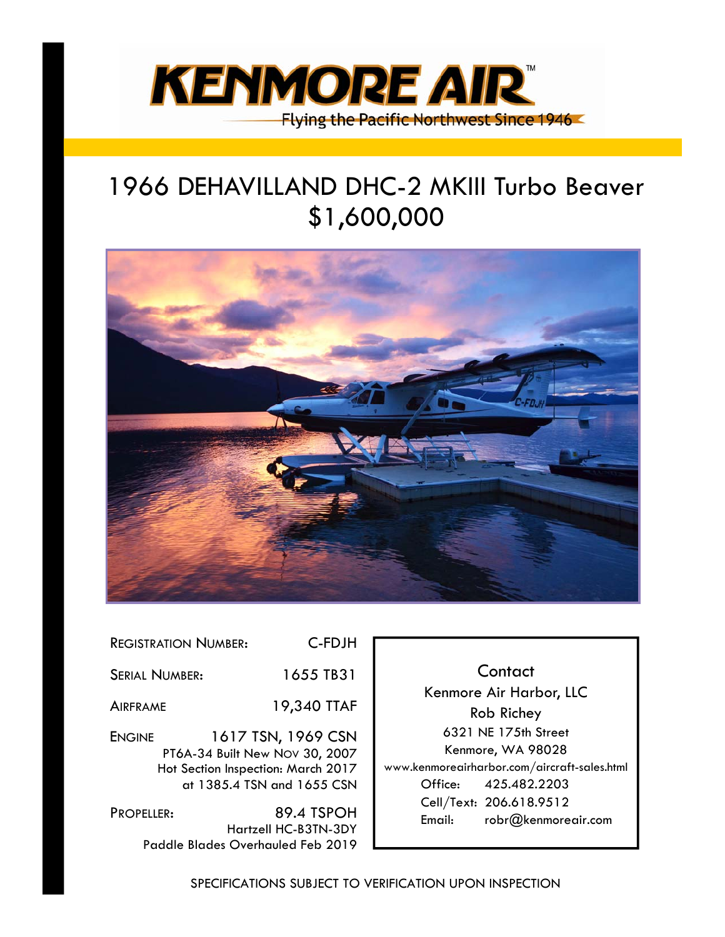

# 1966 DEHAVILLAND DHC-2 MKIII Turbo Beaver \$1,600,000



| <b>REGISTRATION NUMBER:</b> | C-FDJH                                                                                                                   |
|-----------------------------|--------------------------------------------------------------------------------------------------------------------------|
| <b>SERIAL NUMBER:</b>       | 1655 TB31                                                                                                                |
| <b>AIRFRAME</b>             | 19,340 TTAF                                                                                                              |
| <b>ENGINE</b>               | 1617 TSN, 1969 CSN<br>PT6A-34 Built New Nov 30, 2007<br>Hot Section Inspection: March 2017<br>at 1385.4 TSN and 1655 CSN |

PROPELLER: 89.4 TSPOH Hartzell HC-B3TN-3DY Paddle Blades Overhauled Feb 2019

**Contact** Kenmore Air Harbor, LLC Rob Richey 6321 NE 175th Street Kenmore, WA 98028 www.kenmoreairharbor.com/aircraft-sales.html Office: 425.482.2203 Cell/Text: 206.618.9512 Email: robr@kenmoreair.com

SPECIFICATIONS SUBJECT TO VERIFICATION UPON INSPECTION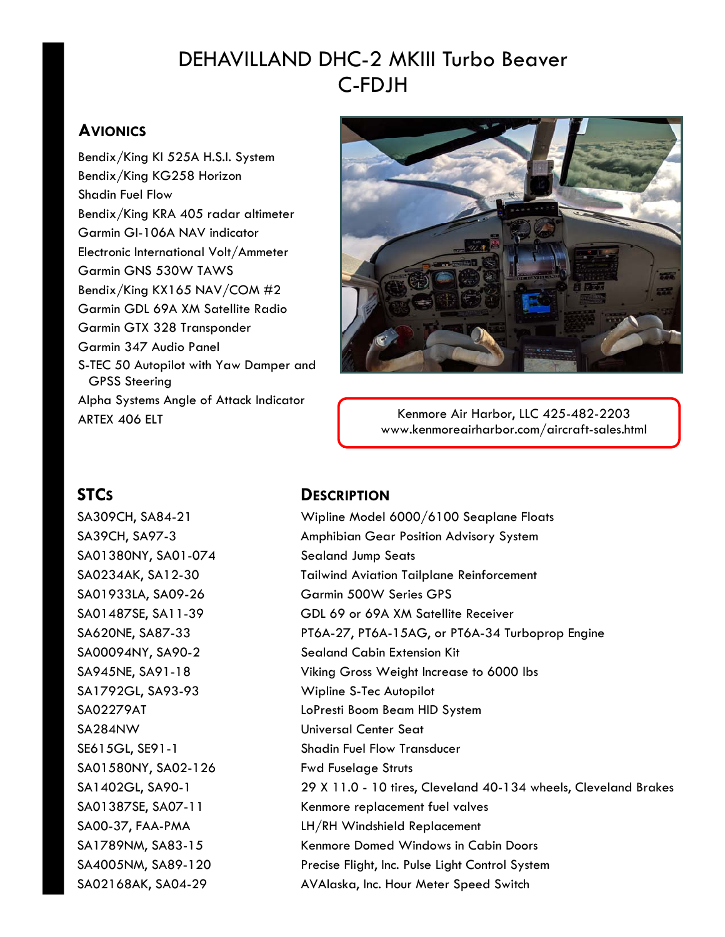# DEHAVILLAND DHC-2 MKIII Turbo Beaver C-FDJH

### **AVIONICS**

Bendix/King KI 525A H.S.I. System Bendix/King KG258 Horizon Shadin Fuel Flow Bendix/King KRA 405 radar altimeter Garmin GI-106A NAV indicator Electronic International Volt/Ammeter Garmin GNS 530W TAWS Bendix/King KX165 NAV/COM #2 Garmin GDL 69A XM Satellite Radio Garmin GTX 328 Transponder Garmin 347 Audio Panel S-TEC 50 Autopilot with Yaw Damper and GPSS Steering Alpha Systems Angle of Attack Indicator ARTEX 406 ELT



Kenmore Air Harbor, LLC 425-482-2203 www.kenmoreairharbor.com/aircraft-sales.html

SA01380NY, SA01-074 Sealand Jump Seats SA1792GL, SA93-93 Wipline S-Tec Autopilot SA284NW Universal Center Seat SA01580NY, SA02-126 Fwd Fuselage Struts

### STCs DESCRIPTION

SA309CH, SA84-21 Wipline Model 6000/6100 Seaplane Floats SA39CH, SA97-3 Amphibian Gear Position Advisory System SA0234AK, SA12-30 Tailwind Aviation Tailplane Reinforcement SA01933LA, SA09-26 Garmin 500W Series GPS SA01487SE, SA11-39 GDL 69 or 69A XM Satellite Receiver SA620NE, SA87-33 PT6A-27, PT6A-15AG, or PT6A-34 Turboprop Engine SA00094NY, SA90-2 Sealand Cabin Extension Kit SA945NE, SA91-18 Viking Gross Weight Increase to 6000 lbs SA02279AT LoPresti Boom Beam HID System SE615GL, SE91-1 Shadin Fuel Flow Transducer SA1402GL, SA90-1 29 X 11.0 - 10 tires, Cleveland 40-134 wheels, Cleveland Brakes SA01387SE, SA07-11 Kenmore replacement fuel valves SA00-37, FAA-PMA LH/RH Windshield Replacement SA1789NM, SA83-15 Kenmore Domed Windows in Cabin Doors SA4005NM, SA89-120 Precise Flight, Inc. Pulse Light Control System SA02168AK, SA04-29 AVAlaska, Inc. Hour Meter Speed Switch